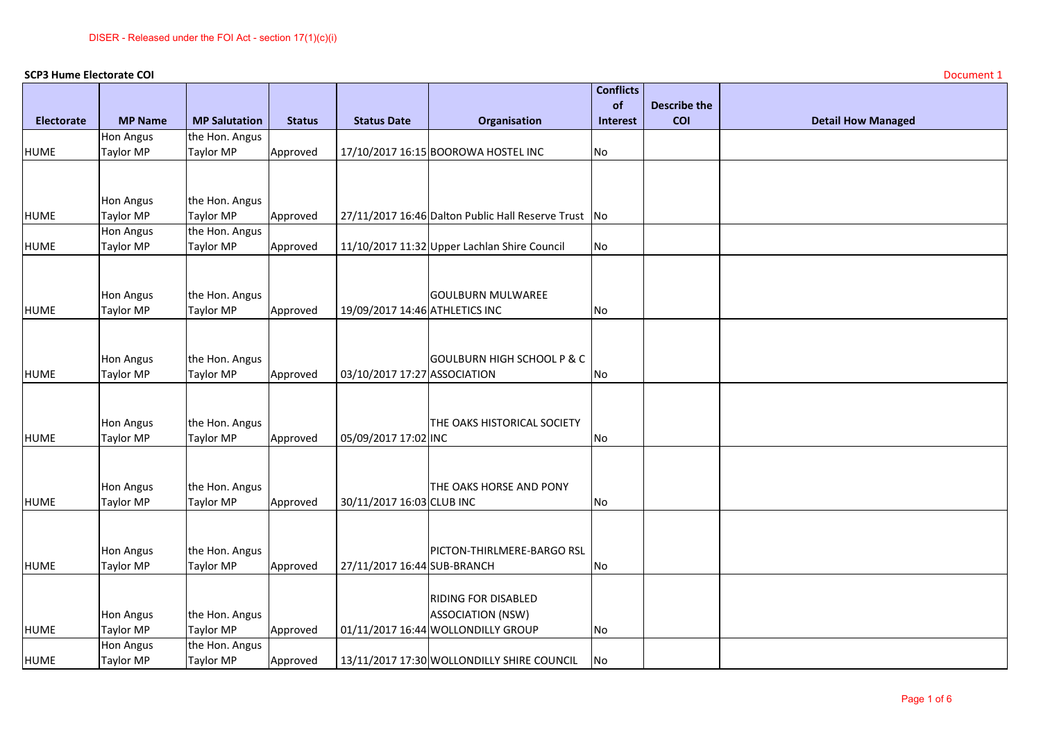|                   | <b>SCP3 Hume Electorate COI</b>      |                             |               |                                |                                                      | <b>Conflicts</b> |                     | Document 1                |
|-------------------|--------------------------------------|-----------------------------|---------------|--------------------------------|------------------------------------------------------|------------------|---------------------|---------------------------|
|                   |                                      |                             |               |                                |                                                      | of               | <b>Describe the</b> |                           |
| <b>Electorate</b> | <b>MP Name</b>                       | <b>MP Salutation</b>        | <b>Status</b> | <b>Status Date</b>             | Organisation                                         | <b>Interest</b>  | <b>COI</b>          | <b>Detail How Managed</b> |
|                   | <b>Hon Angus</b>                     | the Hon. Angus              |               |                                |                                                      |                  |                     |                           |
| <b>HUME</b>       | <b>Taylor MP</b>                     | Taylor MP                   | Approved      |                                | 17/10/2017 16:15 BOOROWA HOSTEL INC                  | No               |                     |                           |
|                   |                                      |                             |               |                                |                                                      |                  |                     |                           |
|                   |                                      |                             |               |                                |                                                      |                  |                     |                           |
|                   | Hon Angus                            | the Hon. Angus              |               |                                |                                                      |                  |                     |                           |
| <b>HUME</b>       | <b>Taylor MP</b><br><b>Hon Angus</b> | Taylor MP<br>the Hon. Angus | Approved      |                                | 27/11/2017 16:46 Dalton Public Hall Reserve Trust No |                  |                     |                           |
| <b>HUME</b>       | <b>Taylor MP</b>                     | Taylor MP                   | Approved      |                                | 11/10/2017 11:32 Upper Lachlan Shire Council         | No               |                     |                           |
|                   |                                      |                             |               |                                |                                                      |                  |                     |                           |
|                   |                                      |                             |               |                                |                                                      |                  |                     |                           |
|                   | Hon Angus                            | the Hon. Angus              |               |                                | <b>GOULBURN MULWAREE</b>                             |                  |                     |                           |
| <b>HUME</b>       | <b>Taylor MP</b>                     | Taylor MP                   | Approved      | 19/09/2017 14:46 ATHLETICS INC |                                                      | No               |                     |                           |
|                   |                                      |                             |               |                                |                                                      |                  |                     |                           |
|                   |                                      |                             |               |                                |                                                      |                  |                     |                           |
|                   | Hon Angus                            | the Hon. Angus              |               |                                | <b>GOULBURN HIGH SCHOOL P &amp; C</b>                |                  |                     |                           |
| <b>HUME</b>       | Taylor MP                            | Taylor MP                   | Approved      | 03/10/2017 17:27 ASSOCIATION   |                                                      | No               |                     |                           |
|                   |                                      |                             |               |                                |                                                      |                  |                     |                           |
|                   |                                      |                             |               |                                |                                                      |                  |                     |                           |
| <b>HUME</b>       | Hon Angus<br>Taylor MP               | the Hon. Angus<br>Taylor MP |               |                                | THE OAKS HISTORICAL SOCIETY                          |                  |                     |                           |
|                   |                                      |                             | Approved      | 05/09/2017 17:02 INC           |                                                      | No               |                     |                           |
|                   |                                      |                             |               |                                |                                                      |                  |                     |                           |
|                   | <b>Hon Angus</b>                     | the Hon. Angus              |               |                                | THE OAKS HORSE AND PONY                              |                  |                     |                           |
| <b>HUME</b>       | <b>Taylor MP</b>                     | Taylor MP                   | Approved      | 30/11/2017 16:03 CLUB INC      |                                                      | No               |                     |                           |
|                   |                                      |                             |               |                                |                                                      |                  |                     |                           |
|                   |                                      |                             |               |                                |                                                      |                  |                     |                           |
|                   | Hon Angus                            | the Hon. Angus              |               |                                | PICTON-THIRLMERE-BARGO RSL                           |                  |                     |                           |
| <b>HUME</b>       | <b>Taylor MP</b>                     | Taylor MP                   | Approved      | 27/11/2017 16:44 SUB-BRANCH    |                                                      | No               |                     |                           |
|                   |                                      |                             |               |                                |                                                      |                  |                     |                           |
|                   |                                      |                             |               |                                | <b>RIDING FOR DISABLED</b>                           |                  |                     |                           |
|                   | <b>Hon Angus</b>                     | the Hon. Angus              |               |                                | <b>ASSOCIATION (NSW)</b>                             |                  |                     |                           |
| <b>HUME</b>       | <b>Taylor MP</b>                     | Taylor MP                   | Approved      |                                | 01/11/2017 16:44 WOLLONDILLY GROUP                   | No               |                     |                           |
| <b>HUME</b>       | <b>Hon Angus</b><br><b>Taylor MP</b> | the Hon. Angus<br>Taylor MP | Approved      |                                | 13/11/2017 17:30 WOLLONDILLY SHIRE COUNCIL           | No               |                     |                           |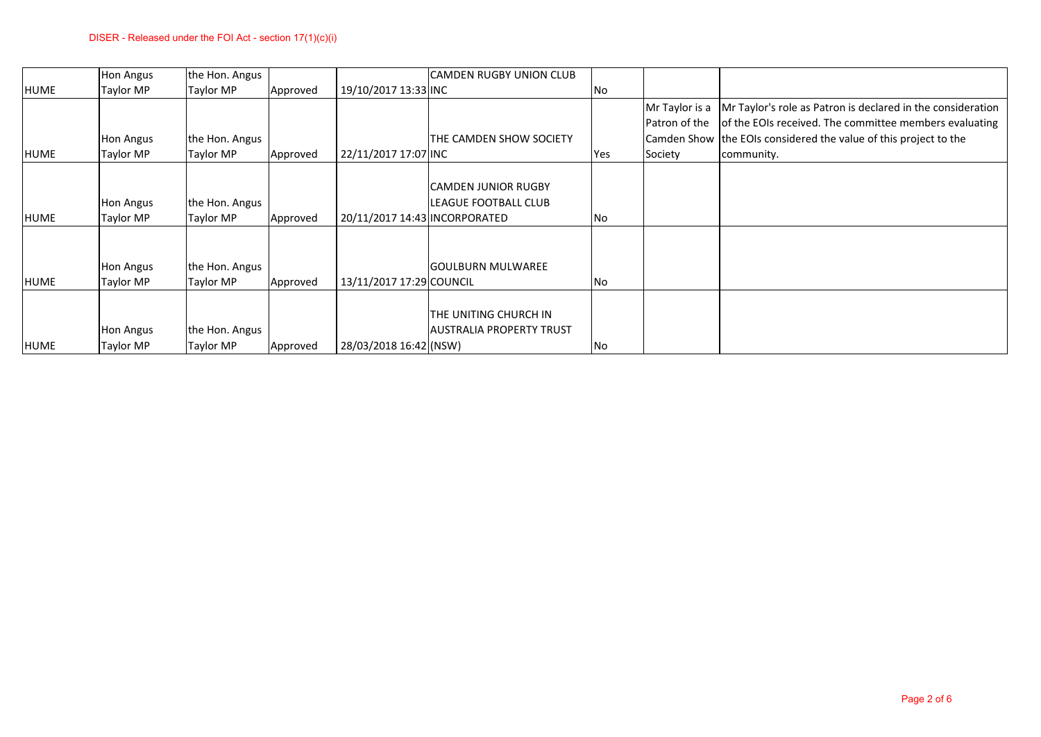|             | <b>Hon Angus</b>              | the Hon. Angus              |          |                               | CAMDEN RUGBY UNION CLUB         |     |                |                                                                  |
|-------------|-------------------------------|-----------------------------|----------|-------------------------------|---------------------------------|-----|----------------|------------------------------------------------------------------|
| HUME        | Taylor MP                     | Taylor MP                   | Approved | 19/10/2017 13:33 INC          |                                 | No  |                |                                                                  |
|             |                               |                             |          |                               |                                 |     | Mr Taylor is a | Mr Taylor's role as Patron is declared in the consideration      |
|             |                               |                             |          |                               |                                 |     | Patron of the  | of the EOIs received. The committee members evaluating           |
|             | <b>Hon Angus</b>              | the Hon. Angus              |          |                               | THE CAMDEN SHOW SOCIETY         |     |                | Camden Show the EOIs considered the value of this project to the |
| <b>HUME</b> | Taylor MP                     | Taylor MP                   | Approved | 22/11/2017 17:07 INC          |                                 | Yes | Society        | community.                                                       |
|             |                               |                             |          |                               |                                 |     |                |                                                                  |
|             |                               |                             |          |                               | <b>CAMDEN JUNIOR RUGBY</b>      |     |                |                                                                  |
| <b>HUME</b> | <b>Hon Angus</b><br>Taylor MP | the Hon. Angus<br>Taylor MP | Approved | 20/11/2017 14:43 INCORPORATED | LEAGUE FOOTBALL CLUB            |     |                |                                                                  |
|             |                               |                             |          |                               |                                 | No  |                |                                                                  |
|             |                               |                             |          |                               |                                 |     |                |                                                                  |
|             | <b>Hon Angus</b>              | the Hon. Angus              |          |                               | <b>GOULBURN MULWAREE</b>        |     |                |                                                                  |
| HUME        | Taylor MP                     | Taylor MP                   | Approved | 13/11/2017 17:29 COUNCIL      |                                 | No  |                |                                                                  |
|             |                               |                             |          |                               |                                 |     |                |                                                                  |
|             |                               |                             |          |                               | THE UNITING CHURCH IN           |     |                |                                                                  |
|             | <b>Hon Angus</b>              | the Hon. Angus              |          |                               | <b>AUSTRALIA PROPERTY TRUST</b> |     |                |                                                                  |
| HUME        | Taylor MP                     | Taylor MP                   | Approved | 28/03/2018 16:42 (NSW)        |                                 | No  |                |                                                                  |
|             |                               |                             |          |                               |                                 |     |                |                                                                  |
|             |                               |                             |          |                               |                                 |     |                |                                                                  |
|             |                               |                             |          |                               |                                 |     |                |                                                                  |
|             |                               |                             |          |                               |                                 |     |                |                                                                  |
|             |                               |                             |          |                               |                                 |     |                |                                                                  |
|             |                               |                             |          |                               |                                 |     |                |                                                                  |
|             |                               |                             |          |                               |                                 |     |                |                                                                  |
|             |                               |                             |          |                               |                                 |     |                | Page 2 of 6                                                      |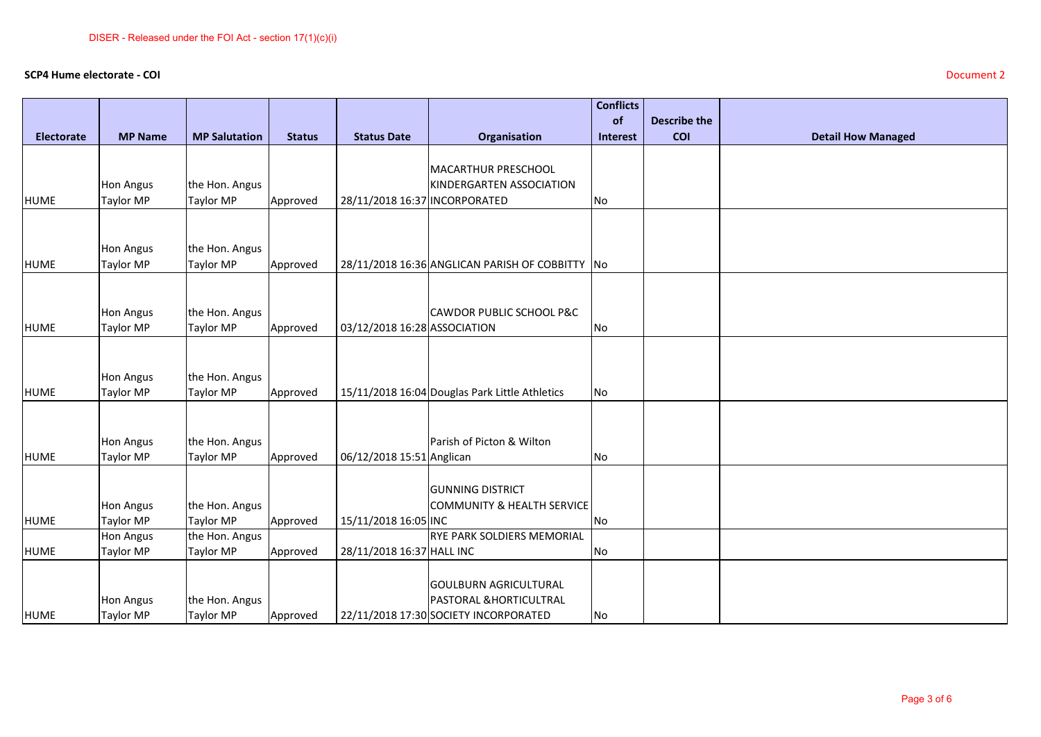## **SCP4 Hume electorate - COI** Document 2

|             |                               |                             |               |                               |                                                 | <b>Conflicts</b><br>of | <b>Describe the</b> |                           |
|-------------|-------------------------------|-----------------------------|---------------|-------------------------------|-------------------------------------------------|------------------------|---------------------|---------------------------|
| Electorate  | <b>MP Name</b>                | <b>MP Salutation</b>        | <b>Status</b> | <b>Status Date</b>            | Organisation                                    | Interest               | COI                 | <b>Detail How Managed</b> |
|             |                               |                             |               |                               |                                                 |                        |                     |                           |
|             |                               |                             |               |                               | MACARTHUR PRESCHOOL                             |                        |                     |                           |
|             | <b>Hon Angus</b>              | the Hon. Angus              |               | 28/11/2018 16:37 INCORPORATED | KINDERGARTEN ASSOCIATION                        |                        |                     |                           |
| <b>HUME</b> | Taylor MP                     | Taylor MP                   | Approved      |                               |                                                 | No                     |                     |                           |
|             |                               |                             |               |                               |                                                 |                        |                     |                           |
|             | <b>Hon Angus</b>              | the Hon. Angus              |               |                               |                                                 |                        |                     |                           |
| <b>HUME</b> | Taylor MP                     | Taylor MP                   | Approved      |                               | 28/11/2018 16:36 ANGLICAN PARISH OF COBBITTY No |                        |                     |                           |
|             |                               |                             |               |                               |                                                 |                        |                     |                           |
|             |                               |                             |               |                               |                                                 |                        |                     |                           |
| <b>HUME</b> | <b>Hon Angus</b><br>Taylor MP | the Hon. Angus<br>Taylor MP | Approved      | 03/12/2018 16:28 ASSOCIATION  | <b>CAWDOR PUBLIC SCHOOL P&amp;C</b>             | No                     |                     |                           |
|             |                               |                             |               |                               |                                                 |                        |                     |                           |
|             |                               |                             |               |                               |                                                 |                        |                     |                           |
|             | <b>Hon Angus</b>              | the Hon. Angus              |               |                               |                                                 |                        |                     |                           |
| <b>HUME</b> | Taylor MP                     | Taylor MP                   | Approved      |                               | 15/11/2018 16:04 Douglas Park Little Athletics  | No                     |                     |                           |
|             |                               |                             |               |                               |                                                 |                        |                     |                           |
|             |                               |                             |               |                               |                                                 |                        |                     |                           |
| <b>HUME</b> | <b>Hon Angus</b><br>Taylor MP | the Hon. Angus<br>Taylor MP | Approved      | 06/12/2018 15:51 Anglican     | Parish of Picton & Wilton                       | No                     |                     |                           |
|             |                               |                             |               |                               |                                                 |                        |                     |                           |
|             |                               |                             |               |                               | <b>GUNNING DISTRICT</b>                         |                        |                     |                           |
|             | <b>Hon Angus</b>              | the Hon. Angus              |               |                               | COMMUNITY & HEALTH SERVICE                      |                        |                     |                           |
| <b>HUME</b> | Taylor MP                     | Taylor MP                   | Approved      | 15/11/2018 16:05 INC          |                                                 | No                     |                     |                           |
|             | <b>Hon Angus</b>              | the Hon. Angus              |               |                               | <b>RYE PARK SOLDIERS MEMORIAL</b>               |                        |                     |                           |
| <b>HUME</b> | Taylor MP                     | Taylor MP                   | Approved      | 28/11/2018 16:37 HALL INC     |                                                 | No                     |                     |                           |
|             |                               |                             |               |                               | <b>GOULBURN AGRICULTURAL</b>                    |                        |                     |                           |
|             | <b>Hon Angus</b>              | the Hon. Angus              |               |                               | PASTORAL & HORTICULTRAL                         |                        |                     |                           |
| <b>HUME</b> | Taylor MP                     | <b>Taylor MP</b>            | Approved      |                               | 22/11/2018 17:30 SOCIETY INCORPORATED           | No                     |                     |                           |
|             |                               |                             |               |                               |                                                 |                        |                     |                           |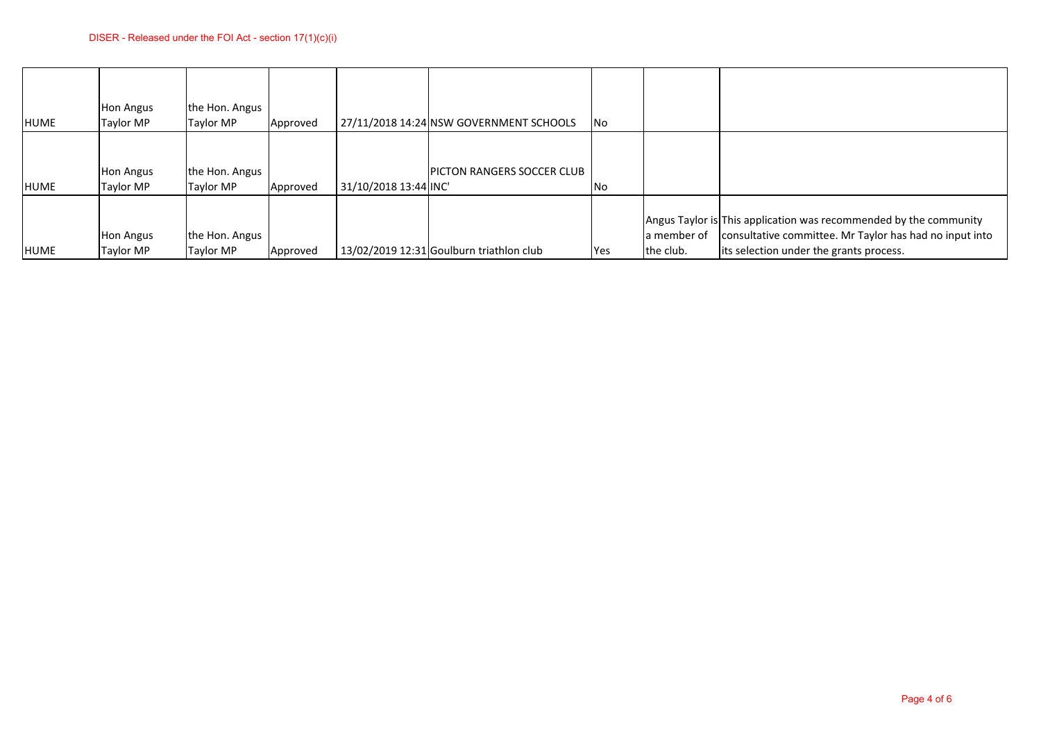|             |                               | DISER - Released under the FOI Act - section $17(1)(c)(i)$ |          |                      |                                            |     |                          |                                                                                                                                                                         |
|-------------|-------------------------------|------------------------------------------------------------|----------|----------------------|--------------------------------------------|-----|--------------------------|-------------------------------------------------------------------------------------------------------------------------------------------------------------------------|
| <b>HUME</b> | <b>Hon Angus</b><br>Taylor MP | the Hon. Angus<br>Taylor MP                                | Approved |                      | 27/11/2018 14:24 NSW GOVERNMENT SCHOOLS    | No  |                          |                                                                                                                                                                         |
| <b>HUME</b> | <b>Hon Angus</b><br>Taylor MP | the Hon. Angus<br>Taylor MP                                | Approved | 31/10/2018 13:44 INC | PICTON RANGERS SOCCER CLUB                 | No  |                          |                                                                                                                                                                         |
| HUME        | <b>Hon Angus</b><br>Taylor MP | the Hon. Angus<br>Taylor MP                                | Approved |                      | $13/02/2019$ 12:31 Goulburn triathlon club | Yes | a member of<br>the club. | Angus Taylor is This application was recommended by the community<br>consultative committee. Mr Taylor has had no input into<br>its selection under the grants process. |
|             |                               |                                                            |          |                      |                                            |     |                          |                                                                                                                                                                         |
|             |                               |                                                            |          |                      |                                            |     |                          |                                                                                                                                                                         |
|             |                               |                                                            |          |                      |                                            |     |                          |                                                                                                                                                                         |
|             |                               |                                                            |          |                      |                                            |     |                          |                                                                                                                                                                         |
|             |                               |                                                            |          |                      |                                            |     |                          |                                                                                                                                                                         |
|             |                               |                                                            |          |                      |                                            |     |                          |                                                                                                                                                                         |
|             |                               |                                                            |          |                      |                                            |     |                          |                                                                                                                                                                         |
|             |                               |                                                            |          |                      |                                            |     |                          |                                                                                                                                                                         |
|             |                               |                                                            |          |                      |                                            |     |                          | Page 4 of 6                                                                                                                                                             |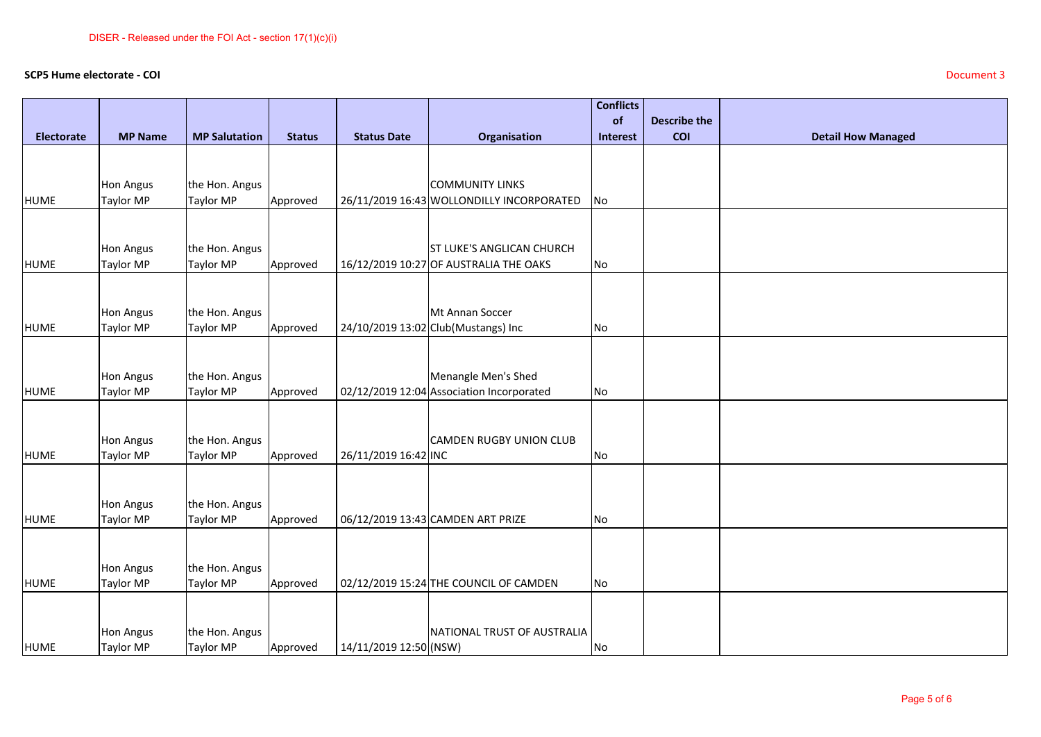## **SCP5 Hume electorate - COI** Document 3

|             | SCP5 Hume electorate - COI |                             |               |                        |                                                                            |                  |                     | Document 3                |
|-------------|----------------------------|-----------------------------|---------------|------------------------|----------------------------------------------------------------------------|------------------|---------------------|---------------------------|
|             |                            |                             |               |                        |                                                                            | <b>Conflicts</b> |                     |                           |
|             |                            |                             |               |                        |                                                                            | of               | <b>Describe the</b> |                           |
| Electorate  | <b>MP Name</b>             | <b>MP Salutation</b>        | <b>Status</b> | <b>Status Date</b>     | Organisation                                                               | <b>Interest</b>  | <b>COI</b>          | <b>Detail How Managed</b> |
|             |                            |                             |               |                        |                                                                            |                  |                     |                           |
|             | Hon Angus                  | the Hon. Angus              |               |                        | <b>COMMUNITY LINKS</b>                                                     |                  |                     |                           |
| <b>HUME</b> | Taylor MP                  | Taylor MP                   | Approved      |                        | 26/11/2019 16:43 WOLLONDILLY INCORPORATED                                  | No               |                     |                           |
|             |                            |                             |               |                        |                                                                            |                  |                     |                           |
|             |                            |                             |               |                        |                                                                            |                  |                     |                           |
| <b>HUME</b> | Hon Angus<br>Taylor MP     | the Hon. Angus<br>Taylor MP | Approved      |                        | <b>ST LUKE'S ANGLICAN CHURCH</b><br>16/12/2019 10:27 OF AUSTRALIA THE OAKS | No               |                     |                           |
|             |                            |                             |               |                        |                                                                            |                  |                     |                           |
|             |                            |                             |               |                        |                                                                            |                  |                     |                           |
|             | Hon Angus                  | the Hon. Angus              |               |                        | Mt Annan Soccer                                                            |                  |                     |                           |
| <b>HUME</b> | <b>Taylor MP</b>           | Taylor MP                   | Approved      |                        | 24/10/2019 13:02 Club(Mustangs) Inc                                        | No               |                     |                           |
|             |                            |                             |               |                        |                                                                            |                  |                     |                           |
|             | Hon Angus                  | the Hon. Angus              |               |                        | Menangle Men's Shed                                                        |                  |                     |                           |
| <b>HUME</b> | Taylor MP                  | Taylor MP                   | Approved      |                        | 02/12/2019 12:04 Association Incorporated                                  | No               |                     |                           |
|             |                            |                             |               |                        |                                                                            |                  |                     |                           |
|             |                            |                             |               |                        |                                                                            |                  |                     |                           |
|             | Hon Angus                  | the Hon. Angus              |               |                        | CAMDEN RUGBY UNION CLUB                                                    |                  |                     |                           |
| <b>HUME</b> | <b>Taylor MP</b>           | Taylor MP                   | Approved      | 26/11/2019 16:42 INC   |                                                                            | No               |                     |                           |
|             |                            |                             |               |                        |                                                                            |                  |                     |                           |
|             | Hon Angus                  | the Hon. Angus              |               |                        |                                                                            |                  |                     |                           |
| <b>HUME</b> | Taylor MP                  | Taylor MP                   | Approved      |                        | 06/12/2019 13:43 CAMDEN ART PRIZE                                          | No               |                     |                           |
|             |                            |                             |               |                        |                                                                            |                  |                     |                           |
|             | <b>Hon Angus</b>           | the Hon. Angus              |               |                        |                                                                            |                  |                     |                           |
| <b>HUME</b> | Taylor MP                  | Taylor MP                   | Approved      |                        | 02/12/2019 15:24 THE COUNCIL OF CAMDEN                                     | No               |                     |                           |
|             |                            |                             |               |                        |                                                                            |                  |                     |                           |
|             |                            |                             |               |                        |                                                                            |                  |                     |                           |
|             | <b>Hon Angus</b>           | the Hon. Angus              |               |                        | NATIONAL TRUST OF AUSTRALIA                                                |                  |                     |                           |
| <b>HUME</b> | Taylor MP                  | <b>Taylor MP</b>            | Approved      | 14/11/2019 12:50 (NSW) |                                                                            | No               |                     |                           |